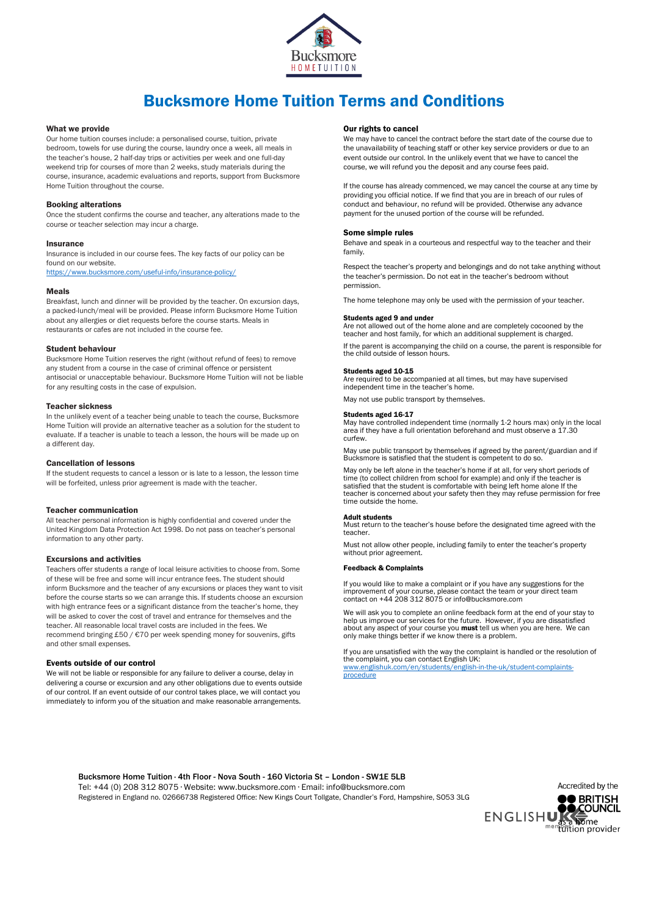

# Bucksmore Home Tuition Terms and Conditions

#### What we provide

Our home tuition courses include: a personalised course, tuition, private bedroom, towels for use during the course, laundry once a week, all meals in the teacher's house, 2 half-day trips or activities per week and one full-day weekend trip for courses of more than 2 weeks, study materials during the course, insurance, academic evaluations and reports, support from Bucksmore Home Tuition throughout the course.

# Booking alterations

Once the student confirms the course and teacher, any alterations made to the course or teacher selection may incur a charge.

# Insurance

Insurance is included in our course fees. The key facts of our policy can be found on our website.

<https://www.bucksmore.com/useful-info/insurance-policy/>

# Meals

Breakfast, lunch and dinner will be provided by the teacher. On excursion days, a packed-lunch/meal will be provided. Please inform Bucksmore Home Tuition about any allergies or diet requests before the course starts. Meals in restaurants or cafes are not included in the course fee.

# Student behaviour

Bucksmore Home Tuition reserves the right (without refund of fees) to remove any student from a course in the case of criminal offence or persistent antisocial or unacceptable behaviour. Bucksmore Home Tuition will not be liable for any resulting costs in the case of expulsion.

#### Teacher sickness

In the unlikely event of a teacher being unable to teach the course, Bucksmore Home Tuition will provide an alternative teacher as a solution for the student to evaluate. If a teacher is unable to teach a lesson, the hours will be made up on a different day.

#### Cancellation of lessons

If the student requests to cancel a lesson or is late to a lesson, the lesson time will be forfeited, unless prior agreement is made with the teacher.

#### Teacher communication

All teacher personal information is highly confidential and covered under the United Kingdom Data Protection Act 1998. Do not pass on teacher's personal information to any other party.

# Excursions and activities

Teachers offer students a range of local leisure activities to choose from. Some of these will be free and some will incur entrance fees. The student should inform Bucksmore and the teacher of any excursions or places they want to visit before the course starts so we can arrange this. If students choose an excursion with high entrance fees or a significant distance from the teacher's home, they will be asked to cover the cost of travel and entrance for themselves and the teacher. All reasonable local travel costs are included in the fees. We recommend bringing £50 / €70 per week spending money for souvenirs, gifts and other small expenses.

# Events outside of our control

We will not be liable or responsible for any failure to deliver a course, delay in delivering a course or excursion and any other obligations due to events outside of our control. If an event outside of our control takes place, we will contact you immediately to inform you of the situation and make reasonable arrangements.

# Our rights to cancel

We may have to cancel the contract before the start date of the course due to the unavailability of teaching staff or other key service providers or due to an event outside our control. In the unlikely event that we have to cancel the course, we will refund you the deposit and any course fees paid.

If the course has already commenced, we may cancel the course at any time by providing you official notice. If we find that you are in breach of our rules of conduct and behaviour, no refund will be provided. Otherwise any advance payment for the unused portion of the course will be refunded.

# Some simple rules

Behave and speak in a courteous and respectful way to the teacher and their family.

Respect the teacher's property and belongings and do not take anything without the teacher's permission. Do not eat in the teacher's bedroom without permission.

The home telephone may only be used with the permission of your teacher.

# Students aged 9 and under

Are not allowed out of the home alone and are completely cocooned by the teacher and host family, for which an additional supplement is charged. If the parent is accompanying the child on a course, the parent is responsible for

the child outside of lesson hours.

#### Students aged 10-15

Are required to be accompanied at all times, but may have supervised independent time in the teacher's home.

May not use public transport by themselves.

# Students aged 16-17

May have controlled independent time (normally 1-2 hours max) only in the local area if they have a full orientation beforehand and must observe a 17.30 curfew.

May use public transport by themselves if agreed by the parent/guardian and if Bucksmore is satisfied that the student is competent to do so.

May only be left alone in the teacher's home if at all, for very short periods of time (to collect children from school for example) and only if the teacher is satisfied that the student is comfortable with being left home alone If the teacher is concerned about your safety then they may refuse permission for free time outside the home.

# Adult students

Must return to the teacher's house before the designated time agreed with the teacher.

Must not allow other people, including family to enter the teacher's property without prior agreement.

# edback & Complaints

If you would like to make a complaint or if you have any suggestions for the improvement of your course, please contact the team or your direct team contact on +44 208 312 8075 or info@bucksmore.com

We will ask you to complete an online feedback form at the end of your stay to help us improve our services for the future. However, if you are dissatisfied about any aspect of your course you **must** tell us when you are here. We can only make things better if we know there is a problem.

If you are unsatisfied with the way the complaint is handled or the resolution of the complaint, you can contact English UK: [www.englishuk.com/en/students/english-in-the-uk/student-complaints](http://www.englishuk.com/en/students/english-in-the-uk/student-complaints-procedure)[procedure](http://www.englishuk.com/en/students/english-in-the-uk/student-complaints-procedure)

Bucksmore Home Tuition ∙ 4th Floor - Nova South - 160 Victoria St – London - SW1E 5LB Tel: +44 (0) 208 312 8075 ∙ Website: www.bucksmore.com ∙ Email: info@bucksmore.com Registered in England no. 02666738 Registered Office: New Kings Court Tollgate, Chandler's Ford, Hampshire, SO53 3LG